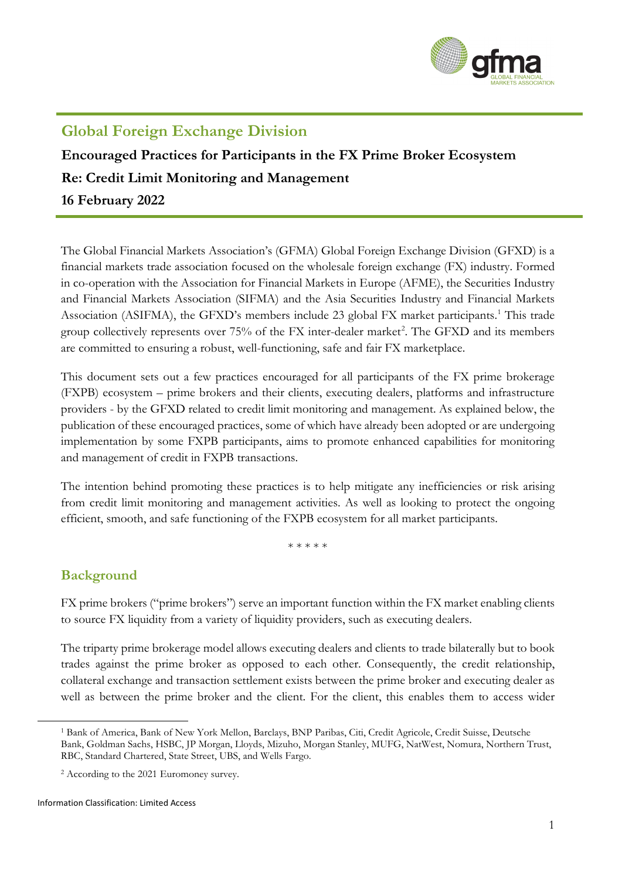

# **Global Foreign Exchange Division**

# **Encouraged Practices for Participants in the FX Prime Broker Ecosystem Re: Credit Limit Monitoring and Management 16 February 2022**

The Global Financial Markets Association's (GFMA) Global Foreign Exchange Division (GFXD) is a financial markets trade association focused on the wholesale foreign exchange (FX) industry. Formed in co-operation with the Association for Financial Markets in Europe (AFME), the Securities Industry and Financial Markets Association (SIFMA) and the Asia Securities Industry and Financial Markets Association (ASIFMA), the GFXD's members include 23 global FX market participants. [1](#page-0-0) This trade group collectively represents over 75% of the FX inter-dealer market<sup>[2](#page-0-1)</sup>. The GFXD and its members are committed to ensuring a robust, well-functioning, safe and fair FX marketplace.

This document sets out a few practices encouraged for all participants of the FX prime brokerage (FXPB) ecosystem – prime brokers and their clients, executing dealers, platforms and infrastructure providers - by the GFXD related to credit limit monitoring and management. As explained below, the publication of these encouraged practices, some of which have already been adopted or are undergoing implementation by some FXPB participants, aims to promote enhanced capabilities for monitoring and management of credit in FXPB transactions.

The intention behind promoting these practices is to help mitigate any inefficiencies or risk arising from credit limit monitoring and management activities. As well as looking to protect the ongoing efficient, smooth, and safe functioning of the FXPB ecosystem for all market participants.

\* \* \* \* \*

## **Background**

FX prime brokers ("prime brokers") serve an important function within the FX market enabling clients to source FX liquidity from a variety of liquidity providers, such as executing dealers.

The triparty prime brokerage model allows executing dealers and clients to trade bilaterally but to book trades against the prime broker as opposed to each other. Consequently, the credit relationship, collateral exchange and transaction settlement exists between the prime broker and executing dealer as well as between the prime broker and the client. For the client, this enables them to access wider

<span id="page-0-0"></span><sup>1</sup> Bank of America, Bank of New York Mellon, Barclays, BNP Paribas, Citi, Credit Agricole, Credit Suisse, Deutsche Bank, Goldman Sachs, HSBC, JP Morgan, Lloyds, Mizuho, Morgan Stanley, MUFG, NatWest, Nomura, Northern Trust, RBC, Standard Chartered, State Street, UBS, and Wells Fargo.

<span id="page-0-1"></span><sup>2</sup> According to the 2021 Euromoney survey.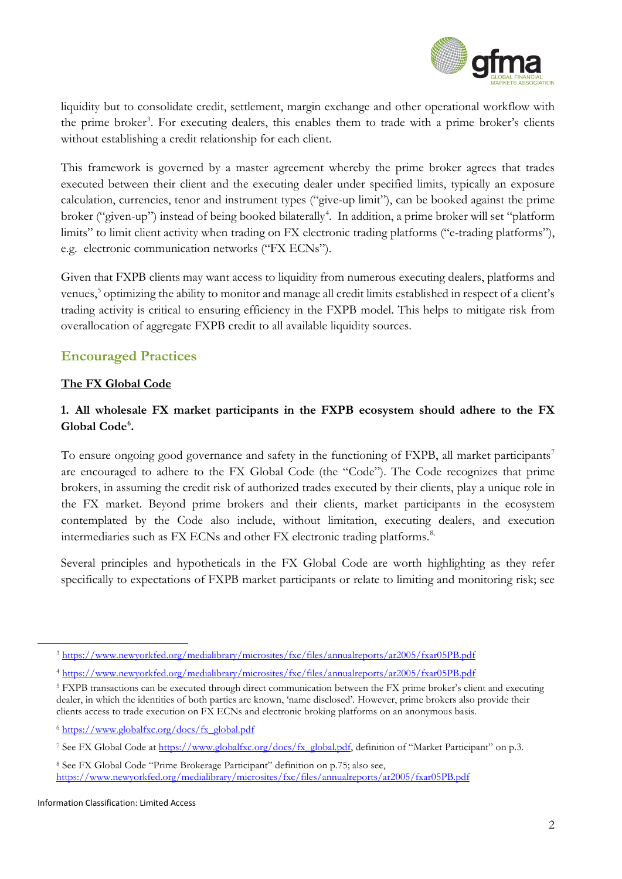

liquidity but to consolidate credit, settlement, margin exchange and other operational workflow with the prime broker<sup>[3](#page-1-0)</sup>. For executing dealers, this enables them to trade with a prime broker's clients without establishing a credit relationship for each client.

This framework is governed by a master agreement whereby the prime broker agrees that trades executed between their client and the executing dealer under specified limits, typically an exposure calculation, currencies, tenor and instrument types ("give-up limit"), can be booked against the prime broker ("given-up") instead of being booked bilaterally<sup>[4](#page-1-1)</sup>. In addition, a prime broker will set "platform limits" to limit client activity when trading on FX electronic trading platforms ("e-trading platforms"), e.g. electronic communication networks ("FX ECNs").

Given that FXPB clients may want access to liquidity from numerous executing dealers, platforms and venues,<sup>5</sup> optimizing the ability to monitor and manage all credit limits established in respect of a client's trading activity is critical to ensuring efficiency in the FXPB model. This helps to mitigate risk from overallocation of aggregate FXPB credit to all available liquidity sources.

## **Encouraged Practices**

#### **The FX Global Code**

### **1. All wholesale FX market participants in the FXPB ecosystem should adhere to the FX Global Code[6](#page-1-3) .**

To ensure ongoing good governance and safety in the functioning of FXPB, all market participants<sup>[7](#page-1-4)</sup> are encouraged to adhere to the FX Global Code (the "Code"). The Code recognizes that prime brokers, in assuming the credit risk of authorized trades executed by their clients, play a unique role in the FX market. Beyond prime brokers and their clients, market participants in the ecosystem contemplated by the Code also include, without limitation, executing dealers, and execution intermediaries such as FX ECNs and other FX electronic trading platforms. [8,](#page-1-5)

Several principles and hypotheticals in the FX Global Code are worth highlighting as they refer specifically to expectations of FXPB market participants or relate to limiting and monitoring risk; see

<span id="page-1-0"></span><sup>3</sup> <https://www.newyorkfed.org/medialibrary/microsites/fxc/files/annualreports/ar2005/fxar05PB.pdf>

<span id="page-1-1"></span><sup>4</sup> <https://www.newyorkfed.org/medialibrary/microsites/fxc/files/annualreports/ar2005/fxar05PB.pdf>

<span id="page-1-2"></span><sup>5</sup> FXPB transactions can be executed through direct communication between the FX prime broker's client and executing dealer, in which the identities of both parties are known, 'name disclosed'. However, prime brokers also provide their clients access to trade execution on FX ECNs and electronic broking platforms on an anonymous basis.

<span id="page-1-3"></span><sup>6</sup> [https://www.globalfxc.org/docs/fx\\_global.pdf](https://www.globalfxc.org/docs/fx_global.pdf)

<span id="page-1-4"></span><sup>&</sup>lt;sup>7</sup> See FX Global Code at [https://www.globalfxc.org/docs/fx\\_global.pdf,](https://www.globalfxc.org/docs/fx_global.pdf) definition of "Market Participant" on p.3.

<span id="page-1-5"></span><sup>8</sup> See FX Global Code "Prime Brokerage Participant" definition on p.75; also see, <https://www.newyorkfed.org/medialibrary/microsites/fxc/files/annualreports/ar2005/fxar05PB.pdf>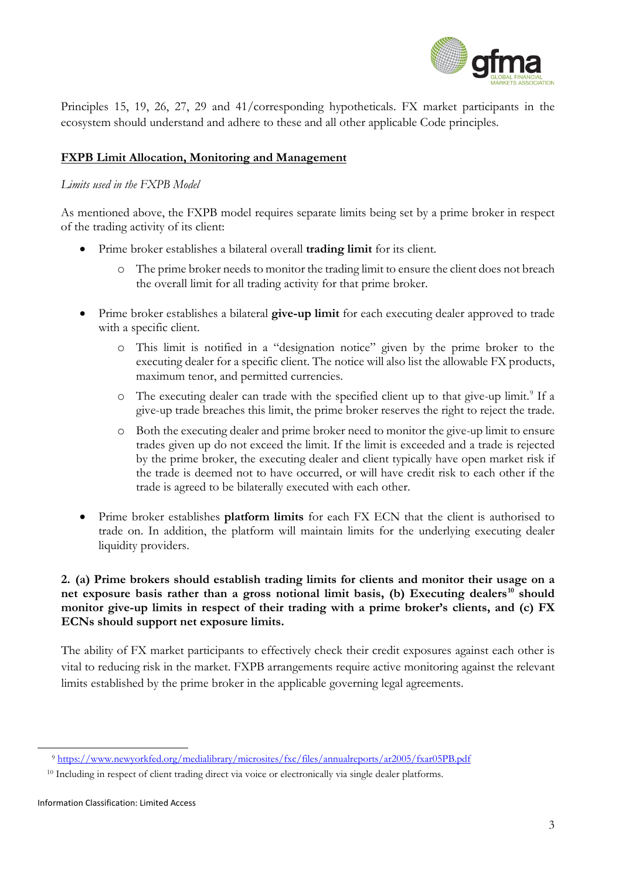

Principles 15, 19, 26, 27, 29 and 41/corresponding hypotheticals. FX market participants in the ecosystem should understand and adhere to these and all other applicable Code principles.

#### **FXPB Limit Allocation, Monitoring and Management**

#### *Limits used in the FXPB Model*

As mentioned above, the FXPB model requires separate limits being set by a prime broker in respect of the trading activity of its client:

- Prime broker establishes a bilateral overall **trading limit** for its client.
	- o The prime broker needs to monitor the trading limit to ensure the client does not breach the overall limit for all trading activity for that prime broker.
- Prime broker establishes a bilateral **give-up limit** for each executing dealer approved to trade with a specific client.
	- o This limit is notified in a "designation notice" given by the prime broker to the executing dealer for a specific client. The notice will also list the allowable FX products, maximum tenor, and permitted currencies.
	- $\circ$  The executing dealer can trade with the specified client up to that give-up limit.<sup>[9](#page-2-0)</sup> If a give-up trade breaches this limit, the prime broker reserves the right to reject the trade.
	- o Both the executing dealer and prime broker need to monitor the give-up limit to ensure trades given up do not exceed the limit. If the limit is exceeded and a trade is rejected by the prime broker, the executing dealer and client typically have open market risk if the trade is deemed not to have occurred, or will have credit risk to each other if the trade is agreed to be bilaterally executed with each other.
- Prime broker establishes **platform limits** for each FX ECN that the client is authorised to trade on. In addition, the platform will maintain limits for the underlying executing dealer liquidity providers.

#### **2. (a) Prime brokers should establish trading limits for clients and monitor their usage on a net exposure basis rather than a gross notional limit basis, (b) Executing dealers[10](#page-2-1) should monitor give-up limits in respect of their trading with a prime broker's clients, and (c) FX ECNs should support net exposure limits.**

The ability of FX market participants to effectively check their credit exposures against each other is vital to reducing risk in the market. FXPB arrangements require active monitoring against the relevant limits established by the prime broker in the applicable governing legal agreements.

<sup>9</sup> <https://www.newyorkfed.org/medialibrary/microsites/fxc/files/annualreports/ar2005/fxar05PB.pdf>

<span id="page-2-1"></span><span id="page-2-0"></span><sup>&</sup>lt;sup>10</sup> Including in respect of client trading direct via voice or electronically via single dealer platforms.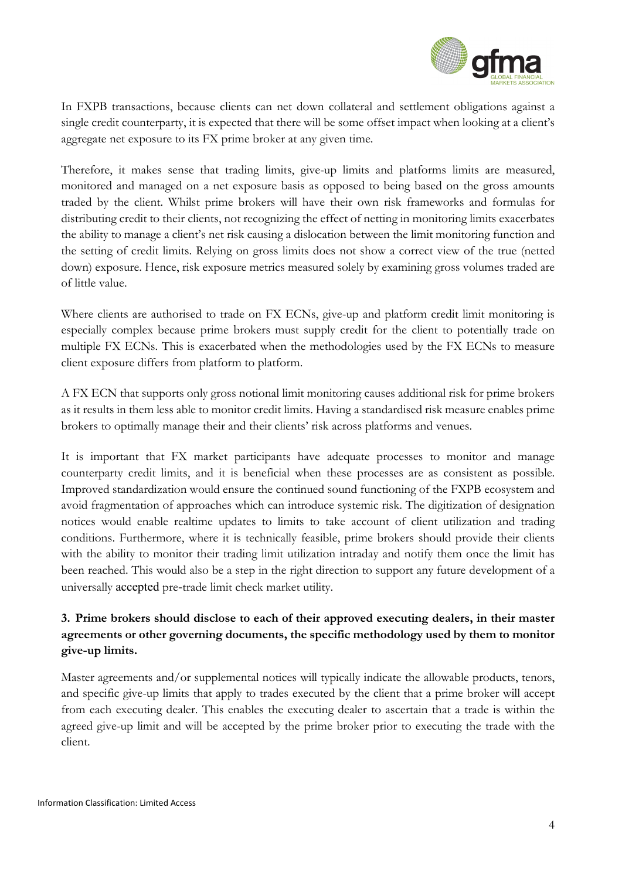

In FXPB transactions, because clients can net down collateral and settlement obligations against a single credit counterparty, it is expected that there will be some offset impact when looking at a client's aggregate net exposure to its FX prime broker at any given time.

Therefore, it makes sense that trading limits, give-up limits and platforms limits are measured, monitored and managed on a net exposure basis as opposed to being based on the gross amounts traded by the client. Whilst prime brokers will have their own risk frameworks and formulas for distributing credit to their clients, not recognizing the effect of netting in monitoring limits exacerbates the ability to manage a client's net risk causing a dislocation between the limit monitoring function and the setting of credit limits. Relying on gross limits does not show a correct view of the true (netted down) exposure. Hence, risk exposure metrics measured solely by examining gross volumes traded are of little value.

Where clients are authorised to trade on FX ECNs, give-up and platform credit limit monitoring is especially complex because prime brokers must supply credit for the client to potentially trade on multiple FX ECNs. This is exacerbated when the methodologies used by the FX ECNs to measure client exposure differs from platform to platform.

A FX ECN that supports only gross notional limit monitoring causes additional risk for prime brokers as it results in them less able to monitor credit limits. Having a standardised risk measure enables prime brokers to optimally manage their and their clients' risk across platforms and venues.

It is important that FX market participants have adequate processes to monitor and manage counterparty credit limits, and it is beneficial when these processes are as consistent as possible. Improved standardization would ensure the continued sound functioning of the FXPB ecosystem and avoid fragmentation of approaches which can introduce systemic risk. The digitization of designation notices would enable realtime updates to limits to take account of client utilization and trading conditions. Furthermore, where it is technically feasible, prime brokers should provide their clients with the ability to monitor their trading limit utilization intraday and notify them once the limit has been reached. This would also be a step in the right direction to support any future development of a universally accepted pre‐trade limit check market utility.

### **3. Prime brokers should disclose to each of their approved executing dealers, in their master agreements or other governing documents, the specific methodology used by them to monitor give-up limits.**

Master agreements and/or supplemental notices will typically indicate the allowable products, tenors, and specific give-up limits that apply to trades executed by the client that a prime broker will accept from each executing dealer. This enables the executing dealer to ascertain that a trade is within the agreed give-up limit and will be accepted by the prime broker prior to executing the trade with the client.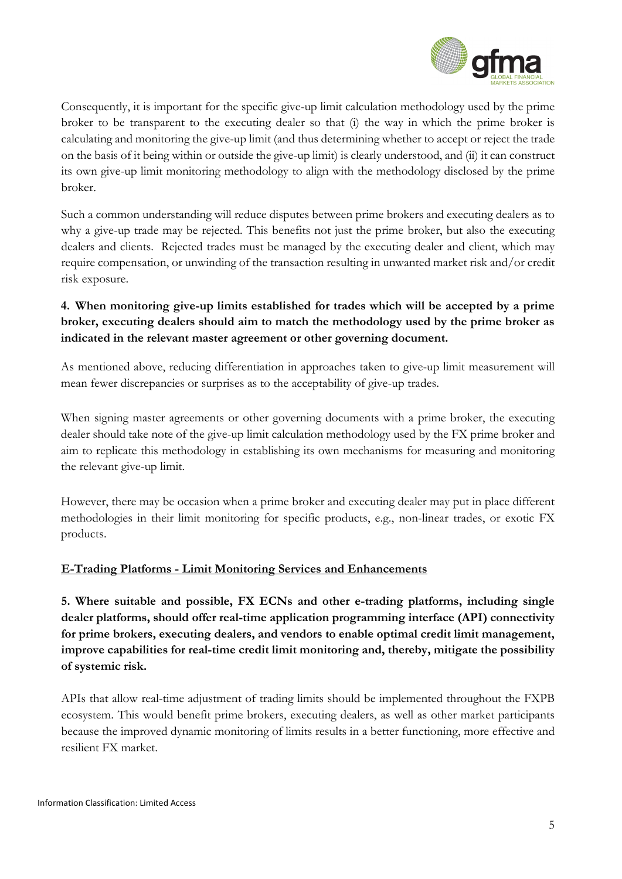

Consequently, it is important for the specific give-up limit calculation methodology used by the prime broker to be transparent to the executing dealer so that (i) the way in which the prime broker is calculating and monitoring the give-up limit (and thus determining whether to accept or reject the trade on the basis of it being within or outside the give-up limit) is clearly understood, and (ii) it can construct its own give-up limit monitoring methodology to align with the methodology disclosed by the prime broker.

Such a common understanding will reduce disputes between prime brokers and executing dealers as to why a give-up trade may be rejected. This benefits not just the prime broker, but also the executing dealers and clients. Rejected trades must be managed by the executing dealer and client, which may require compensation, or unwinding of the transaction resulting in unwanted market risk and/or credit risk exposure.

### **4. When monitoring give-up limits established for trades which will be accepted by a prime broker, executing dealers should aim to match the methodology used by the prime broker as indicated in the relevant master agreement or other governing document.**

As mentioned above, reducing differentiation in approaches taken to give-up limit measurement will mean fewer discrepancies or surprises as to the acceptability of give-up trades.

When signing master agreements or other governing documents with a prime broker, the executing dealer should take note of the give-up limit calculation methodology used by the FX prime broker and aim to replicate this methodology in establishing its own mechanisms for measuring and monitoring the relevant give-up limit.

However, there may be occasion when a prime broker and executing dealer may put in place different methodologies in their limit monitoring for specific products, e.g., non-linear trades, or exotic FX products.

#### **E-Trading Platforms - Limit Monitoring Services and Enhancements**

**5. Where suitable and possible, FX ECNs and other e-trading platforms, including single dealer platforms, should offer real-time application programming interface (API) connectivity for prime brokers, executing dealers, and vendors to enable optimal credit limit management, improve capabilities for real-time credit limit monitoring and, thereby, mitigate the possibility of systemic risk.** 

APIs that allow real-time adjustment of trading limits should be implemented throughout the FXPB ecosystem. This would benefit prime brokers, executing dealers, as well as other market participants because the improved dynamic monitoring of limits results in a better functioning, more effective and resilient FX market.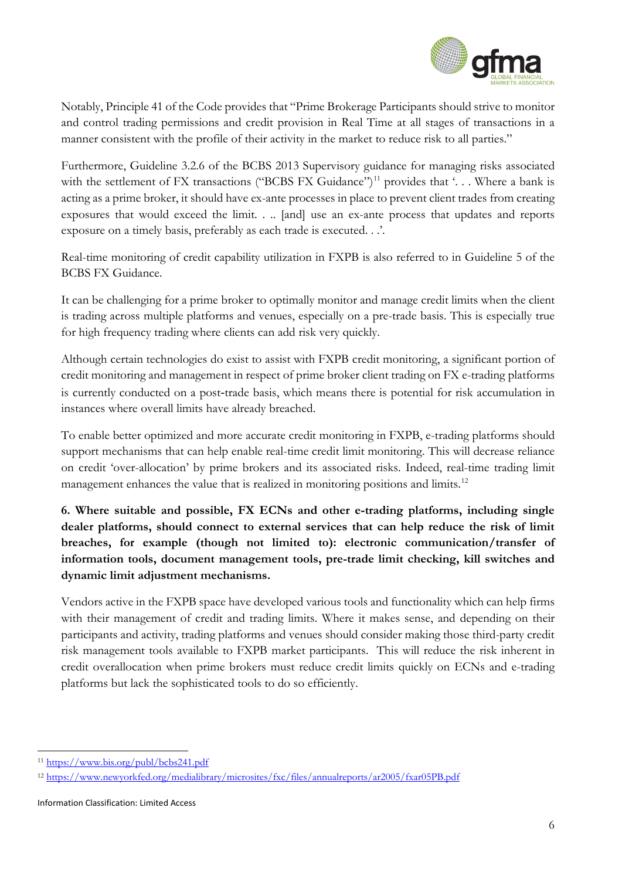

Notably, Principle 41 of the Code provides that "Prime Brokerage Participants should strive to monitor and control trading permissions and credit provision in Real Time at all stages of transactions in a manner consistent with the profile of their activity in the market to reduce risk to all parties."

Furthermore, Guideline 3.2.6 of the BCBS 2013 Supervisory guidance for managing risks associated with the settlement of FX transactions ("BCBS FX Guidance")<sup>[11](#page-5-0)</sup> provides that '... Where a bank is acting as a prime broker, it should have ex-ante processes in place to prevent client trades from creating exposures that would exceed the limit. . .. [and] use an ex-ante process that updates and reports exposure on a timely basis, preferably as each trade is executed. . .'.

Real-time monitoring of credit capability utilization in FXPB is also referred to in Guideline 5 of the BCBS FX Guidance.

It can be challenging for a prime broker to optimally monitor and manage credit limits when the client is trading across multiple platforms and venues, especially on a pre-trade basis. This is especially true for high frequency trading where clients can add risk very quickly.

Although certain technologies do exist to assist with FXPB credit monitoring, a significant portion of credit monitoring and management in respect of prime broker client trading on FX e-trading platforms is currently conducted on a post-trade basis, which means there is potential for risk accumulation in instances where overall limits have already breached.

To enable better optimized and more accurate credit monitoring in FXPB, e-trading platforms should support mechanisms that can help enable real-time credit limit monitoring. This will decrease reliance on credit 'over-allocation' by prime brokers and its associated risks. Indeed, real-time trading limit management enhances the value that is realized in monitoring positions and limits.<sup>[12](#page-5-1)</sup>

**6. Where suitable and possible, FX ECNs and other e-trading platforms, including single dealer platforms, should connect to external services that can help reduce the risk of limit breaches, for example (though not limited to): electronic communication/transfer of information tools, document management tools, pre-trade limit checking, kill switches and dynamic limit adjustment mechanisms.**

Vendors active in the FXPB space have developed various tools and functionality which can help firms with their management of credit and trading limits. Where it makes sense, and depending on their participants and activity, trading platforms and venues should consider making those third-party credit risk management tools available to FXPB market participants. This will reduce the risk inherent in credit overallocation when prime brokers must reduce credit limits quickly on ECNs and e-trading platforms but lack the sophisticated tools to do so efficiently.

<span id="page-5-0"></span><sup>11</sup> <https://www.bis.org/publ/bcbs241.pdf>

<span id="page-5-1"></span><sup>12</sup> <https://www.newyorkfed.org/medialibrary/microsites/fxc/files/annualreports/ar2005/fxar05PB.pdf>